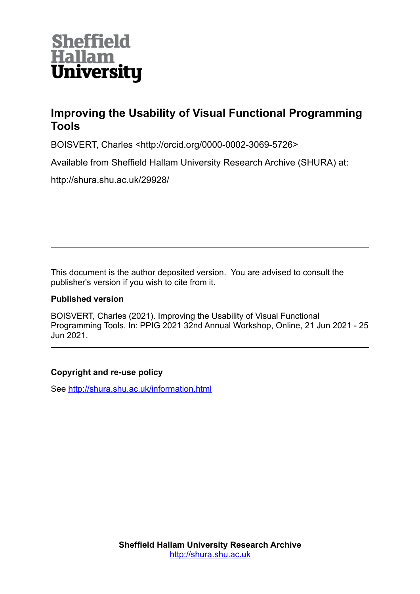

# **Improving the Usability of Visual Functional Programming Tools**

BOISVERT, Charles <http://orcid.org/0000-0002-3069-5726>

Available from Sheffield Hallam University Research Archive (SHURA) at:

http://shura.shu.ac.uk/29928/

This document is the author deposited version. You are advised to consult the publisher's version if you wish to cite from it.

## **Published version**

BOISVERT, Charles (2021). Improving the Usability of Visual Functional Programming Tools. In: PPIG 2021 32nd Annual Workshop, Online, 21 Jun 2021 - 25 Jun 2021.

## **Copyright and re-use policy**

See<http://shura.shu.ac.uk/information.html>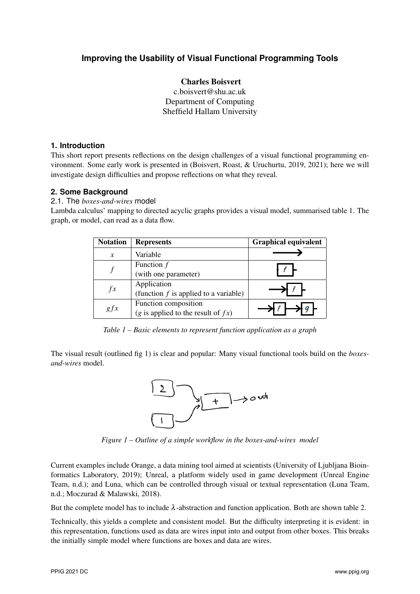# **Improving the Usability of Visual Functional Programming Tools**

#### Charles Boisvert

c.boisvert@shu.ac.uk Department of Computing Sheffield Hallam University

#### **1. Introduction**

This short report presents reflections on the design challenges of a visual functional programming environment. Some early work is presented in (Boisvert, Roast, & Uruchurtu, 2019, 2021); here we will investigate design difficulties and propose reflections on what they reveal.

## **2. Some Background**

2.1. The *boxes-and-wires* model

Lambda calculus' mapping to directed acyclic graphs provides a visual model, summarised table 1. The graph, or model, can read as a data flow.

| <b>Notation</b> | <b>Represents</b>                       | <b>Graphical equivalent</b> |
|-----------------|-----------------------------------------|-----------------------------|
| $\mathcal{X}$   | Variable                                |                             |
|                 | Function $f$                            |                             |
|                 | (with one parameter)                    |                             |
| $f^{\chi}$      | Application                             |                             |
|                 | (function $f$ is applied to a variable) |                             |
| gfx             | Function composition                    |                             |
|                 | (g is applied to the result of $fx$ )   |                             |

*Table 1 – Basic elements to represent function application as a graph*

The visual result (outlined fig 1) is clear and popular: Many visual functional tools build on the *boxesand-wires* model.



*Figure 1 – Outline of a simple workflow in the boxes-and-wires model*

Current examples include Orange, a data mining tool aimed at scientists (University of Ljubljana Bioinformatics Laboratory, 2019); Unreal, a platform widely used in game development (Unreal Engine Team, n.d.); and Luna, which can be controlled through visual or textual representation (Luna Team, n.d.; Moczurad & Malawski, 2018).

But the complete model has to include  $\lambda$ -abstraction and function application. Both are shown table 2.

Technically, this yields a complete and consistent model. But the difficulty interpreting it is evident: in this representation, functions used as data are wires input into and output from other boxes. This breaks the initially simple model where functions are boxes and data are wires.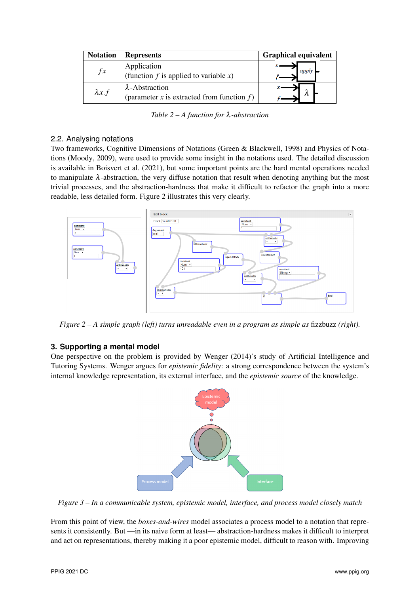| <b>Notation</b> | <b>Represents</b>                                                         | <b>Graphical equivalent</b> |
|-----------------|---------------------------------------------------------------------------|-----------------------------|
| f x             | Application<br>(function $f$ is applied to variable $x$ )                 |                             |
| $\lambda x.f$   | $\lambda$ -Abstraction<br>(parameter $x$ is extracted from function $f$ ) |                             |

*Table 2 – A function for* λ*-abstraction*

#### 2.2. Analysing notations

Two frameworks, Cognitive Dimensions of Notations (Green & Blackwell, 1998) and Physics of Notations (Moody, 2009), were used to provide some insight in the notations used. The detailed discussion is available in Boisvert et al. (2021), but some important points are the hard mental operations needed to manipulate  $\lambda$ -abstraction, the very diffuse notation that result when denoting anything but the most trivial processes, and the abstraction-hardness that make it difficult to refactor the graph into a more readable, less detailed form. Figure 2 illustrates this very clearly.



*Figure 2 – A simple graph (left) turns unreadable even in a program as simple as* fizzbuzz *(right).*

## **3. Supporting a mental model**

One perspective on the problem is provided by Wenger (2014)'s study of Artificial Intelligence and Tutoring Systems. Wenger argues for *epistemic fidelity*: a strong correspondence between the system's internal knowledge representation, its external interface, and the *epistemic source* of the knowledge.



*Figure 3 – In a communicable system, epistemic model, interface, and process model closely match*

From this point of view, the *boxes-and-wires* model associates a process model to a notation that represents it consistently. But —in its naive form at least— abstraction-hardness makes it difficult to interpret and act on representations, thereby making it a poor epistemic model, difficult to reason with. Improving